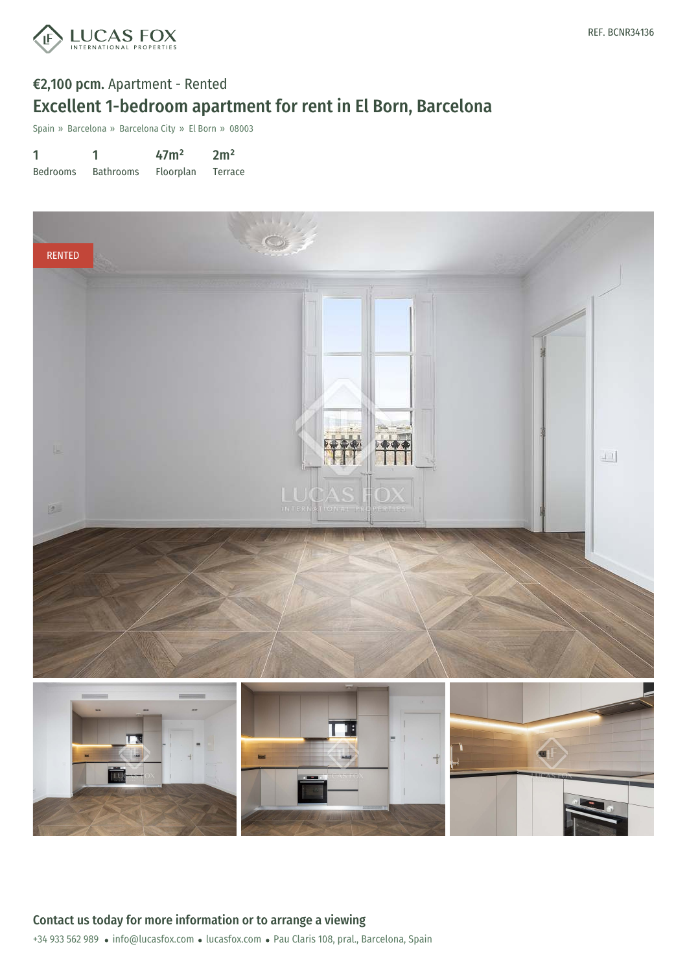

# €2,100 pcm. Apartment - Rented Excellent 1-bedroom apartment for rent in El Born, Barcelona

Spain » Barcelona » Barcelona City » El Born » 08003

| 1               |                  | 47 <sup>m</sup> | 2m <sup>2</sup> |
|-----------------|------------------|-----------------|-----------------|
| <b>Bedrooms</b> | <b>Bathrooms</b> | Floorplan       | Terrace         |

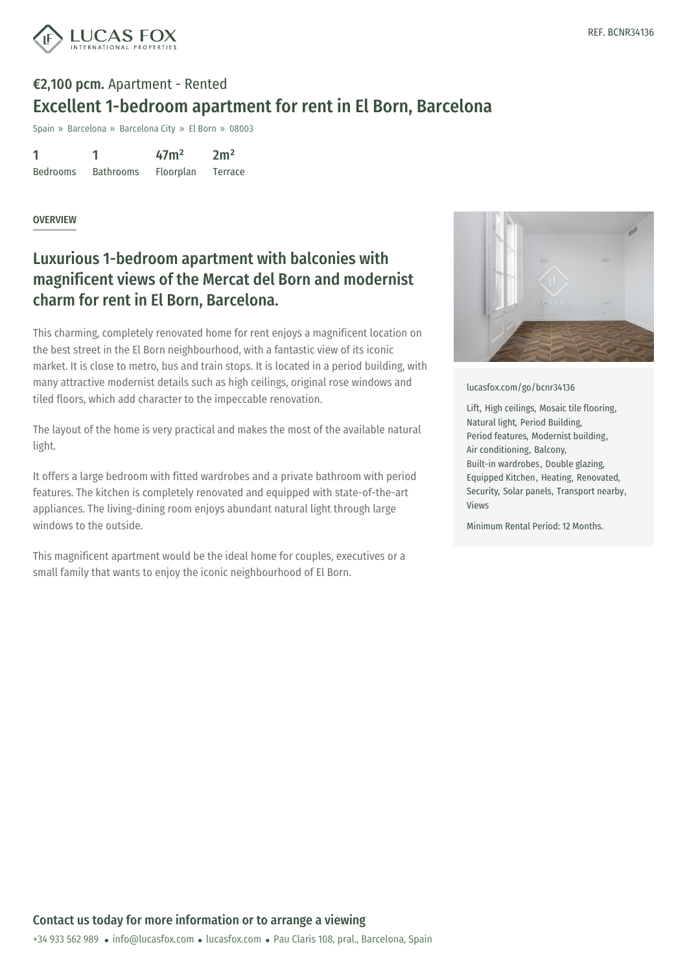

# €2,100 pcm. Apartment - Rented Excellent 1-bedroom apartment for rent in El Born, Barcelona

Spain » Barcelona » Barcelona City » El Born » 08003

1 Bedrooms 1 Bathrooms  $47<sup>2</sup>$ Floorplan  $2m<sup>2</sup>$ Terrace

#### **OVERVIEW**

### Luxurious 1-bedroom apartment with balconies with magnificent views of the Mercat del Born and modernist charm for rent in El Born, Barcelona.

This charming, completely renovated home for rent enjoys a magnificent location on the best street in the El Born neighbourhood, with a fantastic view of its iconic market. It is close to metro, bus and train stops. It is located in a period building, with many attractive modernist details such as high ceilings, original rose windows and tiled floors, which add character to the impeccable renovation.

The layout of the home is very practical and makes the most of the available natural light.

It offers a large bedroom with fitted wardrobes and a private bathroom with period features. The kitchen is completely renovated and equipped with state-of-the-art appliances. The living-dining room enjoys abundant natural light through large windows to the outside.

This magnificent apartment would be the ideal home for couples, executives or a small family that wants to enjoy the iconic neighbourhood of El Born.



[lucasfox.com/go/bcnr34136](https://www.lucasfox.com/go/bcnr34136)

Lift, High ceilings, Mosaic tile flooring, Natural light, Period Building, Period features, Modernist building, Air conditioning, Balcony, Built-in wardrobes, Double glazing, Equipped Kitchen, Heating, Renovated, Security, Solar panels, Transport nearby, Views

Minimum Rental Period: 12 Months.